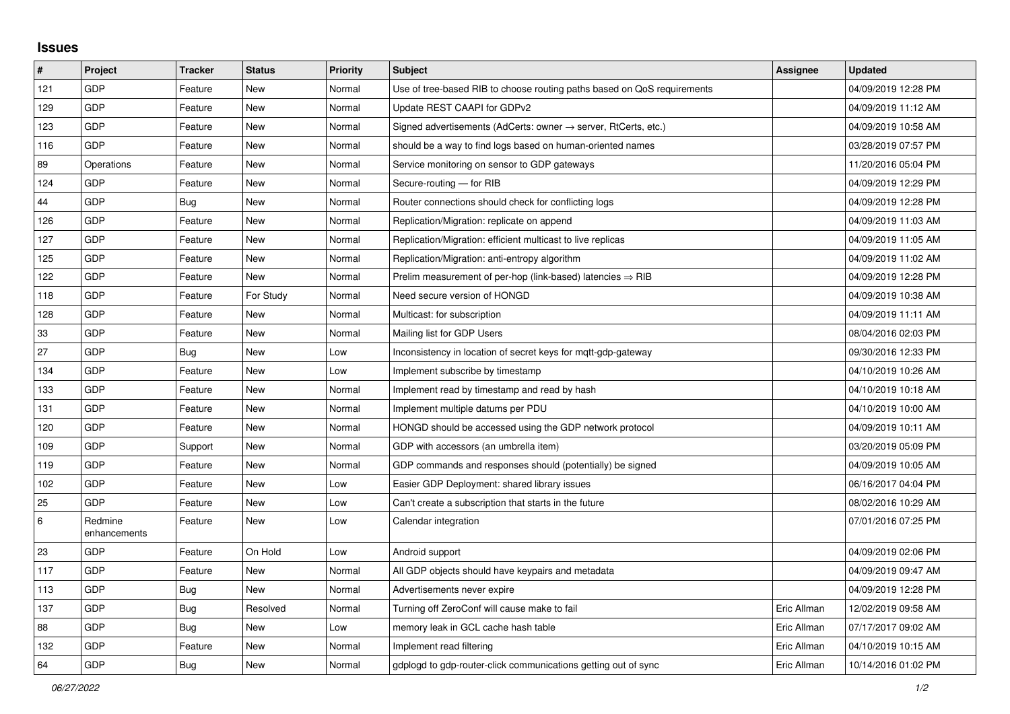## **Issues**

| #   | Project                 | <b>Tracker</b> | <b>Status</b> | <b>Priority</b> | <b>Subject</b>                                                             | Assignee    | <b>Updated</b>      |
|-----|-------------------------|----------------|---------------|-----------------|----------------------------------------------------------------------------|-------------|---------------------|
| 121 | <b>GDP</b>              | Feature        | <b>New</b>    | Normal          | Use of tree-based RIB to choose routing paths based on QoS requirements    |             | 04/09/2019 12:28 PM |
| 129 | GDP                     | Feature        | <b>New</b>    | Normal          | Update REST CAAPI for GDPv2                                                |             | 04/09/2019 11:12 AM |
| 123 | GDP                     | Feature        | New           | Normal          | Signed advertisements (AdCerts: owner $\rightarrow$ server, RtCerts, etc.) |             | 04/09/2019 10:58 AM |
| 116 | GDP                     | Feature        | New           | Normal          | should be a way to find logs based on human-oriented names                 |             | 03/28/2019 07:57 PM |
| 89  | Operations              | Feature        | New           | Normal          | Service monitoring on sensor to GDP gateways                               |             | 11/20/2016 05:04 PM |
| 124 | GDP                     | Feature        | New           | Normal          | Secure-routing - for RIB                                                   |             | 04/09/2019 12:29 PM |
| 44  | GDP                     | <b>Bug</b>     | New           | Normal          | Router connections should check for conflicting logs                       |             | 04/09/2019 12:28 PM |
| 126 | GDP                     | Feature        | New           | Normal          | Replication/Migration: replicate on append                                 |             | 04/09/2019 11:03 AM |
| 127 | GDP                     | Feature        | New           | Normal          | Replication/Migration: efficient multicast to live replicas                |             | 04/09/2019 11:05 AM |
| 125 | GDP                     | Feature        | <b>New</b>    | Normal          | Replication/Migration: anti-entropy algorithm                              |             | 04/09/2019 11:02 AM |
| 122 | GDP                     | Feature        | <b>New</b>    | Normal          | Prelim measurement of per-hop (link-based) latencies $\Rightarrow$ RIB     |             | 04/09/2019 12:28 PM |
| 118 | GDP                     | Feature        | For Study     | Normal          | Need secure version of HONGD                                               |             | 04/09/2019 10:38 AM |
| 128 | GDP                     | Feature        | <b>New</b>    | Normal          | Multicast: for subscription                                                |             | 04/09/2019 11:11 AM |
| 33  | GDP                     | Feature        | <b>New</b>    | Normal          | Mailing list for GDP Users                                                 |             | 08/04/2016 02:03 PM |
| 27  | GDP                     | Bug            | New           | Low             | Inconsistency in location of secret keys for mgtt-gdp-gateway              |             | 09/30/2016 12:33 PM |
| 134 | GDP                     | Feature        | <b>New</b>    | Low             | Implement subscribe by timestamp                                           |             | 04/10/2019 10:26 AM |
| 133 | GDP                     | Feature        | New           | Normal          | Implement read by timestamp and read by hash                               |             | 04/10/2019 10:18 AM |
| 131 | GDP                     | Feature        | New           | Normal          | Implement multiple datums per PDU                                          |             | 04/10/2019 10:00 AM |
| 120 | GDP                     | Feature        | New           | Normal          | HONGD should be accessed using the GDP network protocol                    |             | 04/09/2019 10:11 AM |
| 109 | GDP                     | Support        | New           | Normal          | GDP with accessors (an umbrella item)                                      |             | 03/20/2019 05:09 PM |
| 119 | GDP                     | Feature        | <b>New</b>    | Normal          | GDP commands and responses should (potentially) be signed                  |             | 04/09/2019 10:05 AM |
| 102 | GDP                     | Feature        | New           | Low             | Easier GDP Deployment: shared library issues                               |             | 06/16/2017 04:04 PM |
| 25  | GDP                     | Feature        | New           | Low             | Can't create a subscription that starts in the future                      |             | 08/02/2016 10:29 AM |
| 6   | Redmine<br>enhancements | Feature        | New           | Low             | Calendar integration                                                       |             | 07/01/2016 07:25 PM |
| 23  | <b>GDP</b>              | Feature        | On Hold       | Low             | Android support                                                            |             | 04/09/2019 02:06 PM |
| 117 | GDP                     | Feature        | New           | Normal          | All GDP objects should have keypairs and metadata                          |             | 04/09/2019 09:47 AM |
| 113 | GDP                     | Bug            | New           | Normal          | Advertisements never expire                                                |             | 04/09/2019 12:28 PM |
| 137 | GDP                     | <b>Bug</b>     | Resolved      | Normal          | Turning off ZeroConf will cause make to fail                               | Eric Allman | 12/02/2019 09:58 AM |
| 88  | GDP                     | <b>Bug</b>     | <b>New</b>    | Low             | memory leak in GCL cache hash table                                        | Eric Allman | 07/17/2017 09:02 AM |
| 132 | GDP                     | Feature        | <b>New</b>    | Normal          | Implement read filtering                                                   | Eric Allman | 04/10/2019 10:15 AM |
| 64  | GDP                     | <b>Bug</b>     | <b>New</b>    | Normal          | gdplogd to gdp-router-click communications getting out of sync             | Eric Allman | 10/14/2016 01:02 PM |